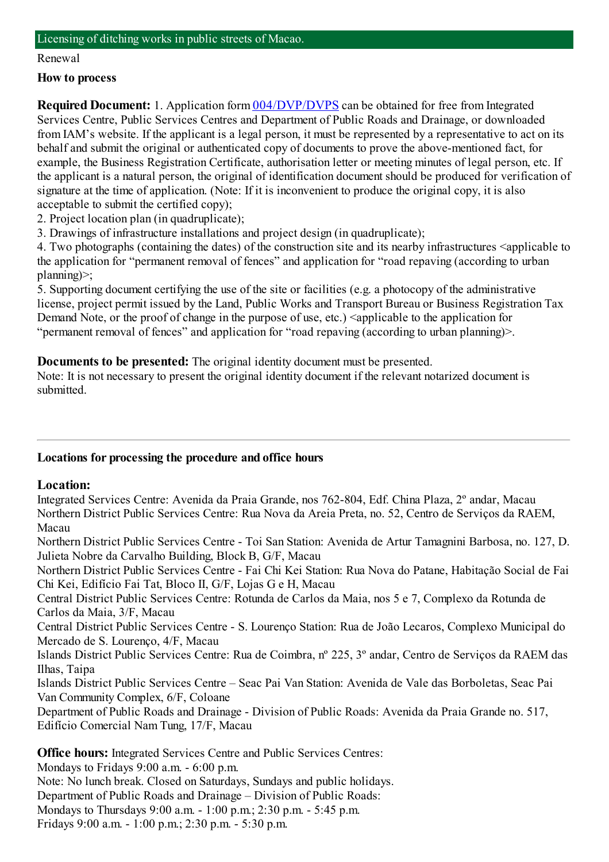#### Licensing of ditching works in public streets of Macao.

### Renewal

## **How to process**

**Required Document:** 1. Application form  $\frac{004}{DVP/DVPS}$  can be obtained for free from Integrated Services Centre, Public Services Centres and Department of Public Roads and Drainage, or downloaded fromIAM's website. If the applicant is a legal person, it must be represented by a representative to act on its behalf and submit the original or authenticated copy of documents to prove the above-mentioned fact, for example, the Business Registration Certificate, authorisation letter or meeting minutes of legal person, etc. If the applicant is a natural person, the original of identification document should be produced for verification of signature at the time of application. (Note: If it is inconvenient to produce the original copy, it is also acceptable to submit the certified copy);

- 2. Project location plan (in quadruplicate);
- 3. Drawings of infrastructure installations and project design (in quadruplicate);

4. Two photographs (containing the dates) of the construction site and its nearby infrastructures <applicable to the application for "permanent removal of fences" and application for "road repaving (according to urban planning)>;

5. Supporting document certifying the use of the site or facilities (e.g. a photocopy of the administrative license, project permit issued by the Land, Public Works and Transport Bureau or Business Registration Tax Demand Note, or the proof of change in the purpose of use, etc.) <applicable to the application for "permanent removal of fences" and application for "road repaving (according to urban planning)>.

**Documents to be presented:** The original identity document must be presented.

Note: It is not necessary to present the original identity document if the relevant notarized document is submitted.

# **Locations for processing the procedure and office hours**

# **Location:**

Integrated Services Centre: Avenida da Praia Grande, nos 762-804, Edf. China Plaza, 2º andar, Macau Northern District Public Services Centre: Rua Nova da Areia Preta, no. 52, Centro de Serviços da RAEM, Macau

Northern District Public Services Centre - Toi San Station: Avenida de Artur Tamagnini Barbosa, no. 127, D. Julieta Nobre da Carvalho Building, Block B, G/F, Macau

Northern District Public Services Centre - Fai Chi Kei Station: Rua Nova do Patane, Habitação Social de Fai Chi Kei, Edifício Fai Tat, Bloco II, G/F, Lojas G e H, Macau

Central District Public Services Centre: Rotunda de Carlos da Maia, nos 5 e 7, Complexo da Rotunda de Carlos da Maia, 3/F, Macau

Central District Public Services Centre - S. Lourenço Station: Rua de João Lecaros, Complexo Municipal do Mercado de S. Lourenço, 4/F, Macau

Islands District Public Services Centre: Rua de Coimbra, nº 225, 3º andar, Centro de Serviços da RAEM das Ilhas, Taipa

Islands District Public Services Centre – Seac Pai Van Station: Avenida de Vale das Borboletas, Seac Pai Van Community Complex, 6/F, Coloane

Department of Public Roads and Drainage - Division of Public Roads: Avenida da Praia Grande no. 517, Edifício Comercial NamTung, 17/F, Macau

**Office hours:** Integrated Services Centre and Public Services Centres:

Mondays to Fridays 9:00 a.m. - 6:00 p.m. Note: No lunch break. Closed on Saturdays, Sundays and public holidays. Department of Public Roads and Drainage – Division of Public Roads: Mondays to Thursdays 9:00 a.m. - 1:00 p.m.; 2:30 p.m. - 5:45 p.m. Fridays 9:00 a.m. - 1:00 p.m.; 2:30 p.m. - 5:30 p.m.